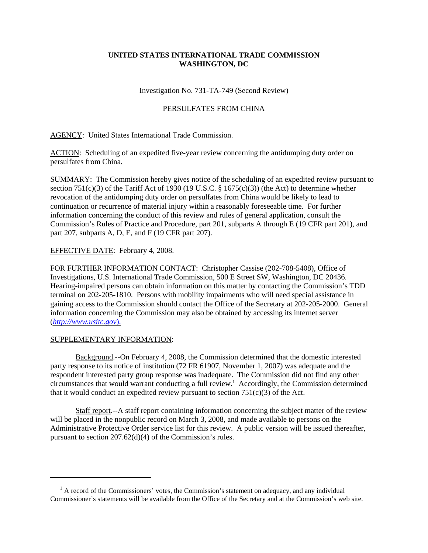## **UNITED STATES INTERNATIONAL TRADE COMMISSION WASHINGTON, DC**

Investigation No. 731-TA-749 (Second Review)

## PERSULFATES FROM CHINA

AGENCY: United States International Trade Commission.

ACTION: Scheduling of an expedited five-year review concerning the antidumping duty order on persulfates from China.

SUMMARY: The Commission hereby gives notice of the scheduling of an expedited review pursuant to section 751(c)(3) of the Tariff Act of 1930 (19 U.S.C.  $\S$  1675(c)(3)) (the Act) to determine whether revocation of the antidumping duty order on persulfates from China would be likely to lead to continuation or recurrence of material injury within a reasonably foreseeable time. For further information concerning the conduct of this review and rules of general application, consult the Commission's Rules of Practice and Procedure, part 201, subparts A through E (19 CFR part 201), and part 207, subparts A, D, E, and F (19 CFR part 207).

## EFFECTIVE DATE: February 4, 2008.

FOR FURTHER INFORMATION CONTACT: Christopher Cassise (202-708-5408), Office of Investigations, U.S. International Trade Commission, 500 E Street SW, Washington, DC 20436. Hearing-impaired persons can obtain information on this matter by contacting the Commission's TDD terminal on 202-205-1810. Persons with mobility impairments who will need special assistance in gaining access to the Commission should contact the Office of the Secretary at 202-205-2000. General information concerning the Commission may also be obtained by accessing its internet server (*http://www.usitc.gov*).

## SUPPLEMENTARY INFORMATION:

Background.--On February 4, 2008, the Commission determined that the domestic interested party response to its notice of institution (72 FR 61907, November 1, 2007) was adequate and the respondent interested party group response was inadequate. The Commission did not find any other circumstances that would warrant conducting a full review.<sup>1</sup> Accordingly, the Commission determined that it would conduct an expedited review pursuant to section  $751(c)(3)$  of the Act.

Staff report.--A staff report containing information concerning the subject matter of the review will be placed in the nonpublic record on March 3, 2008, and made available to persons on the Administrative Protective Order service list for this review. A public version will be issued thereafter, pursuant to section 207.62(d)(4) of the Commission's rules.

 $<sup>1</sup>$  A record of the Commissioners' votes, the Commission's statement on adequacy, and any individual</sup> Commissioner's statements will be available from the Office of the Secretary and at the Commission's web site.